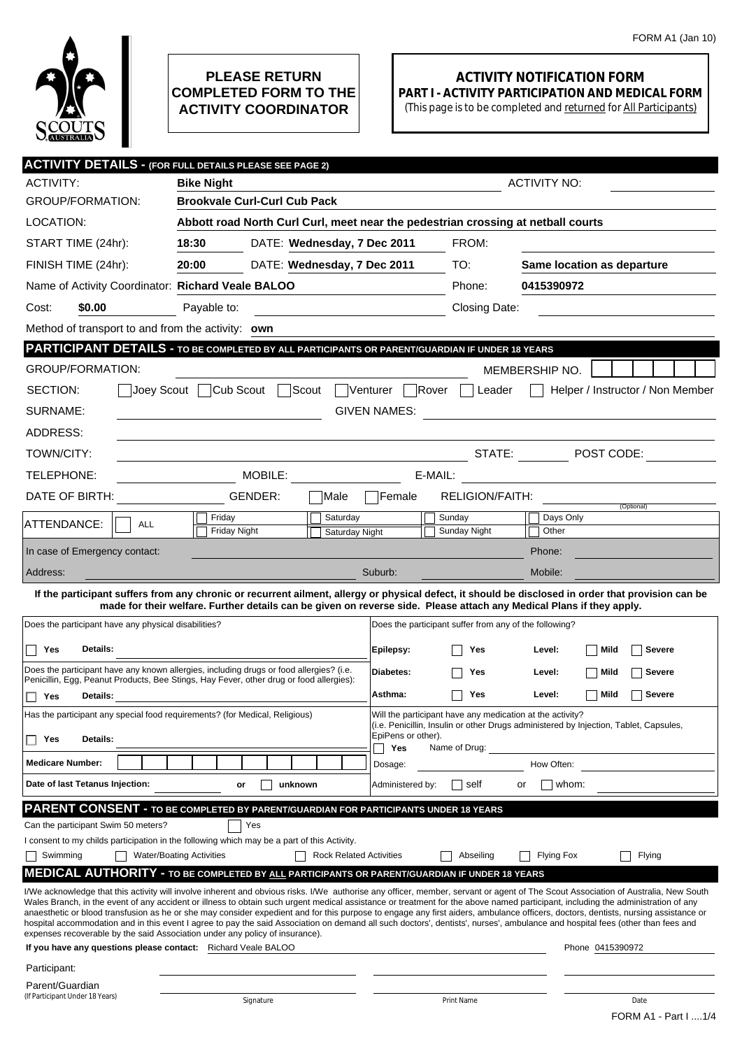

## **PLEASE RETURN COMPLETED FORM TO THE ACTIVITY COORDINATOR**

## **ACTIVITY NOTIFICATION FORM PART I - ACTIVITY PARTICIPATION AND MEDICAL FORM**

(This page is to be completed and returned for All Participants)

| <b>ACTIVITY DETAILS - (FOR FULL DETAILS PLEASE SEE PAGE 2)</b>                                                                                                                                                                                                                                                                                                         |                                                                                  |                                         |                           |                                                                                                                                                    |                            |                           |  |  |
|------------------------------------------------------------------------------------------------------------------------------------------------------------------------------------------------------------------------------------------------------------------------------------------------------------------------------------------------------------------------|----------------------------------------------------------------------------------|-----------------------------------------|---------------------------|----------------------------------------------------------------------------------------------------------------------------------------------------|----------------------------|---------------------------|--|--|
| <b>ACTIVITY:</b>                                                                                                                                                                                                                                                                                                                                                       | <b>Bike Night</b>                                                                |                                         |                           | <b>ACTIVITY NO:</b>                                                                                                                                |                            |                           |  |  |
| <b>GROUP/FORMATION:</b>                                                                                                                                                                                                                                                                                                                                                | <b>Brookvale Curl-Curl Cub Pack</b>                                              |                                         |                           |                                                                                                                                                    |                            |                           |  |  |
| LOCATION:                                                                                                                                                                                                                                                                                                                                                              | Abbott road North Curl Curl, meet near the pedestrian crossing at netball courts |                                         |                           |                                                                                                                                                    |                            |                           |  |  |
| START TIME (24hr):                                                                                                                                                                                                                                                                                                                                                     | 18:30                                                                            | DATE: Wednesday, 7 Dec 2011             |                           | FROM:                                                                                                                                              |                            |                           |  |  |
| FINISH TIME (24hr):                                                                                                                                                                                                                                                                                                                                                    | 20:00                                                                            | DATE: Wednesday, 7 Dec 2011             |                           | TO:                                                                                                                                                | Same location as departure |                           |  |  |
| Name of Activity Coordinator: Richard Veale BALOO                                                                                                                                                                                                                                                                                                                      |                                                                                  |                                         |                           | Phone:                                                                                                                                             | 0415390972                 |                           |  |  |
| \$0.00<br>Cost:                                                                                                                                                                                                                                                                                                                                                        | Payable to:                                                                      | <u> 1980 - Johann Barbara, martin a</u> |                           | Closing Date:                                                                                                                                      |                            |                           |  |  |
| Method of transport to and from the activity: own                                                                                                                                                                                                                                                                                                                      |                                                                                  |                                         |                           |                                                                                                                                                    |                            |                           |  |  |
| <b>PARTICIPANT DETAILS - TO BE COMPLETED BY ALL PARTICIPANTS OR PARENT/GUARDIAN IF UNDER 18 YEARS</b>                                                                                                                                                                                                                                                                  |                                                                                  |                                         |                           |                                                                                                                                                    |                            |                           |  |  |
| <b>GROUP/FORMATION:</b>                                                                                                                                                                                                                                                                                                                                                |                                                                                  |                                         |                           |                                                                                                                                                    | MEMBERSHIP NO.             |                           |  |  |
| Cub Scout<br>Scout<br>Venturer<br>Rover<br>SECTION:<br>Joev Scout<br>Helper / Instructor / Non Member<br>Leader                                                                                                                                                                                                                                                        |                                                                                  |                                         |                           |                                                                                                                                                    |                            |                           |  |  |
| SURNAME:<br><b>GIVEN NAMES:</b>                                                                                                                                                                                                                                                                                                                                        |                                                                                  |                                         |                           |                                                                                                                                                    |                            |                           |  |  |
| ADDRESS:                                                                                                                                                                                                                                                                                                                                                               |                                                                                  |                                         |                           |                                                                                                                                                    |                            |                           |  |  |
| TOWN/CITY:                                                                                                                                                                                                                                                                                                                                                             |                                                                                  |                                         |                           | STATE:                                                                                                                                             |                            | $\blacksquare$ POST CODE: |  |  |
| TELEPHONE:                                                                                                                                                                                                                                                                                                                                                             | MOBILE:<br>E-MAIL:<br><u> 1989 - Johann Stein, fransk politiker (</u>            |                                         |                           |                                                                                                                                                    |                            |                           |  |  |
| DATE OF BIRTH:                                                                                                                                                                                                                                                                                                                                                         | GENDER:                                                                          | Male                                    | Female                    | <b>RELIGION/FAITH:</b>                                                                                                                             |                            |                           |  |  |
|                                                                                                                                                                                                                                                                                                                                                                        | Friday                                                                           | Saturday                                |                           | Sunday                                                                                                                                             | Days Only                  | (Optional)                |  |  |
| ATTENDANCE:<br><b>ALL</b>                                                                                                                                                                                                                                                                                                                                              | <b>Friday Night</b>                                                              | Saturday Night                          |                           | Sunday Night                                                                                                                                       | Other                      |                           |  |  |
| In case of Emergency contact:                                                                                                                                                                                                                                                                                                                                          |                                                                                  |                                         |                           |                                                                                                                                                    | Phone:                     |                           |  |  |
| Address:                                                                                                                                                                                                                                                                                                                                                               |                                                                                  |                                         | Suburb:                   |                                                                                                                                                    | Mobile:                    |                           |  |  |
| If the participant suffers from any chronic or recurrent ailment, allergy or physical defect, it should be disclosed in order that provision can be<br>made for their welfare. Further details can be given on reverse side. Please attach any Medical Plans if they apply.                                                                                            |                                                                                  |                                         |                           |                                                                                                                                                    |                            |                           |  |  |
| Does the participant have any physical disabilities?                                                                                                                                                                                                                                                                                                                   |                                                                                  |                                         |                           | Does the participant suffer from any of the following?                                                                                             |                            |                           |  |  |
|                                                                                                                                                                                                                                                                                                                                                                        |                                                                                  |                                         |                           |                                                                                                                                                    |                            |                           |  |  |
| Details:<br>Yes                                                                                                                                                                                                                                                                                                                                                        |                                                                                  |                                         | Epilepsy:                 | Yes                                                                                                                                                | Level:                     | Mild<br><b>Severe</b>     |  |  |
| Does the participant have any known allergies, including drugs or food allergies? (i.e.<br>Penicillin, Egg, Peanut Products, Bee Stings, Hay Fever, other drug or food allergies):                                                                                                                                                                                     |                                                                                  |                                         |                           | Yes                                                                                                                                                | Level:                     | <b>Severe</b><br>Mild     |  |  |
| Yes<br><b>Details:</b>                                                                                                                                                                                                                                                                                                                                                 |                                                                                  |                                         | Asthma:                   | Yes                                                                                                                                                | Level:<br>  Mild           | <b>Severe</b>             |  |  |
| Has the participant any special food requirements? (for Medical, Religious)                                                                                                                                                                                                                                                                                            |                                                                                  |                                         |                           | Will the participant have any medication at the activity?<br>(i.e. Penicillin, Insulin or other Drugs administered by Injection, Tablet, Capsules, |                            |                           |  |  |
| Details:<br>Yes                                                                                                                                                                                                                                                                                                                                                        |                                                                                  |                                         | EpiPens or other).<br>Yes | Name of Drug:                                                                                                                                      |                            |                           |  |  |
| <b>Medicare Number:</b>                                                                                                                                                                                                                                                                                                                                                |                                                                                  |                                         | Dosage:                   |                                                                                                                                                    | How Often:                 |                           |  |  |
| Date of last Tetanus Injection:                                                                                                                                                                                                                                                                                                                                        | unknown<br>or                                                                    |                                         | Administered by:          | self                                                                                                                                               | whom:<br>or                |                           |  |  |
| PARENT CONSENT - TO BE COMPLETED BY PARENT/GUARDIAN FOR PARTICIPANTS UNDER 18 YEARS                                                                                                                                                                                                                                                                                    |                                                                                  |                                         |                           |                                                                                                                                                    |                            |                           |  |  |
| Can the participant Swim 50 meters?                                                                                                                                                                                                                                                                                                                                    | Yes                                                                              |                                         |                           |                                                                                                                                                    |                            |                           |  |  |
| I consent to my childs participation in the following which may be a part of this Activity.                                                                                                                                                                                                                                                                            |                                                                                  |                                         |                           |                                                                                                                                                    |                            |                           |  |  |
| Swimming                                                                                                                                                                                                                                                                                                                                                               | <b>Water/Boating Activities</b>                                                  | <b>Rock Related Activities</b>          |                           | Abseiling                                                                                                                                          | Flying Fox                 | Flying                    |  |  |
| <b>MEDICAL AUTHORITY - TO BE COMPLETED BY ALL PARTICIPANTS OR PARENT/GUARDIAN IF UNDER 18 YEARS</b>                                                                                                                                                                                                                                                                    |                                                                                  |                                         |                           |                                                                                                                                                    |                            |                           |  |  |
| I/We acknowledge that this activity will involve inherent and obvious risks. I/We authorise any officer, member, servant or agent of The Scout Association of Australia, New South<br>Wales Branch, in the event of any accident or illness to obtain such urgent medical assistance or treatment for the above named participant, including the administration of any |                                                                                  |                                         |                           |                                                                                                                                                    |                            |                           |  |  |
| anaesthetic or blood transfusion as he or she may consider expedient and for this purpose to engage any first aiders, ambulance officers, doctors, dentists, nursing assistance or<br>hospital accommodation and in this event I agree to pay the said Association on demand all such doctors', dentists', nurses', ambulance and hospital fees (other than fees and   |                                                                                  |                                         |                           |                                                                                                                                                    |                            |                           |  |  |
| expenses recoverable by the said Association under any policy of insurance).<br>If you have any questions please contact: Richard Veale BALOO                                                                                                                                                                                                                          |                                                                                  |                                         |                           |                                                                                                                                                    |                            | Phone 0415390972          |  |  |
| Participant:                                                                                                                                                                                                                                                                                                                                                           |                                                                                  |                                         |                           |                                                                                                                                                    |                            |                           |  |  |
| Parent/Guardian                                                                                                                                                                                                                                                                                                                                                        |                                                                                  |                                         |                           |                                                                                                                                                    |                            |                           |  |  |
| (If Participant Under 18 Years)                                                                                                                                                                                                                                                                                                                                        | Signature                                                                        |                                         |                           | Print Name                                                                                                                                         |                            | Date                      |  |  |
|                                                                                                                                                                                                                                                                                                                                                                        |                                                                                  |                                         |                           |                                                                                                                                                    |                            | FORM A1 - Part I 1/4      |  |  |